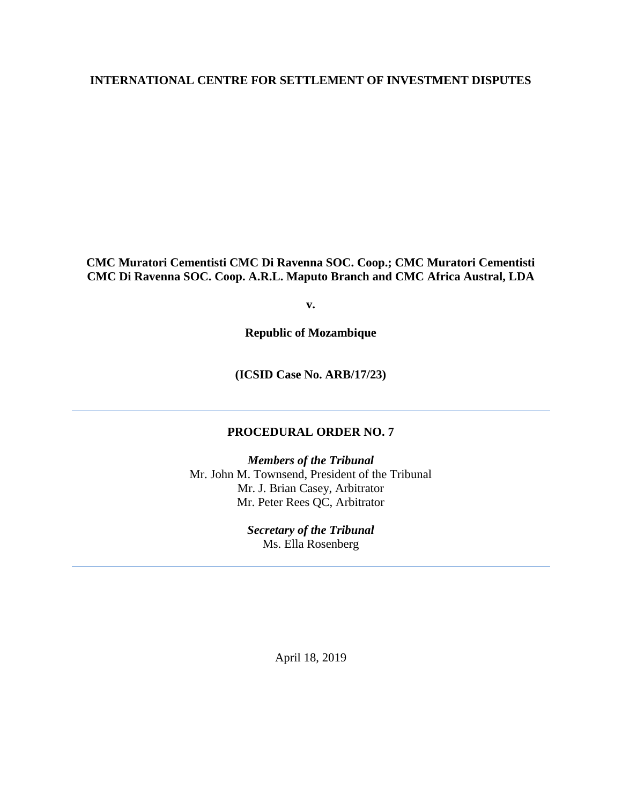# **INTERNATIONAL CENTRE FOR SETTLEMENT OF INVESTMENT DISPUTES**

**CMC Muratori Cementisti CMC Di Ravenna SOC. Coop.; CMC Muratori Cementisti CMC Di Ravenna SOC. Coop. A.R.L. Maputo Branch and CMC Africa Austral, LDA**

**v.**

**Republic of Mozambique**

**(ICSID Case No. ARB/17/23)**

## **PROCEDURAL ORDER NO. 7**

*Members of the Tribunal* Mr. John M. Townsend, President of the Tribunal Mr. J. Brian Casey, Arbitrator Mr. Peter Rees QC, Arbitrator

> *Secretary of the Tribunal* Ms. Ella Rosenberg

> > April 18, 2019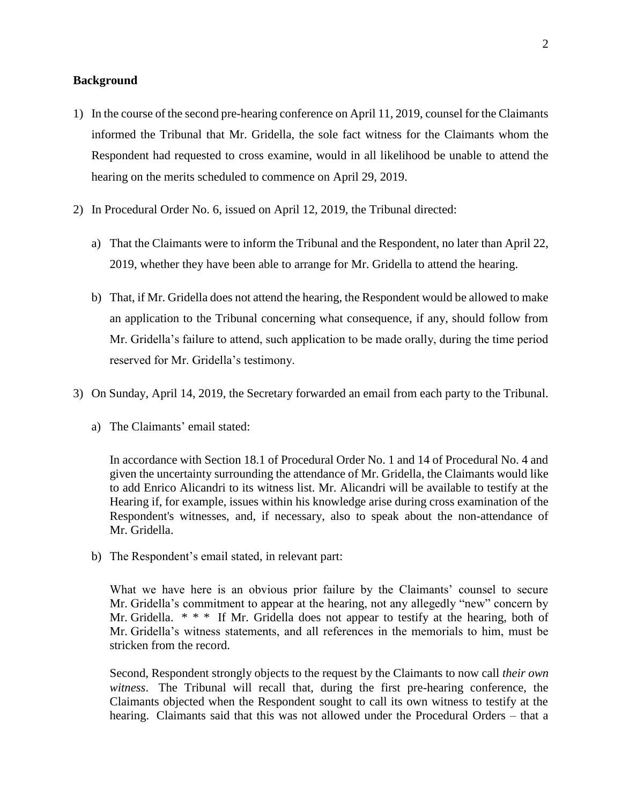### **Background**

- 1) In the course of the second pre-hearing conference on April 11, 2019, counsel for the Claimants informed the Tribunal that Mr. Gridella, the sole fact witness for the Claimants whom the Respondent had requested to cross examine, would in all likelihood be unable to attend the hearing on the merits scheduled to commence on April 29, 2019.
- 2) In Procedural Order No. 6, issued on April 12, 2019, the Tribunal directed:
	- a) That the Claimants were to inform the Tribunal and the Respondent, no later than April 22, 2019, whether they have been able to arrange for Mr. Gridella to attend the hearing.
	- b) That, if Mr. Gridella does not attend the hearing, the Respondent would be allowed to make an application to the Tribunal concerning what consequence, if any, should follow from Mr. Gridella's failure to attend, such application to be made orally, during the time period reserved for Mr. Gridella's testimony.
- 3) On Sunday, April 14, 2019, the Secretary forwarded an email from each party to the Tribunal.
	- a) The Claimants' email stated:

In accordance with Section 18.1 of Procedural Order No. 1 and 14 of Procedural No. 4 and given the uncertainty surrounding the attendance of Mr. Gridella, the Claimants would like to add Enrico Alicandri to its witness list. Mr. Alicandri will be available to testify at the Hearing if, for example, issues within his knowledge arise during cross examination of the Respondent's witnesses, and, if necessary, also to speak about the non-attendance of Mr. Gridella.

b) The Respondent's email stated, in relevant part:

What we have here is an obvious prior failure by the Claimants' counsel to secure Mr. Gridella's commitment to appear at the hearing, not any allegedly "new" concern by Mr. Gridella.  $* * *$  If Mr. Gridella does not appear to testify at the hearing, both of Mr. Gridella's witness statements, and all references in the memorials to him, must be stricken from the record.

Second, Respondent strongly objects to the request by the Claimants to now call *their own witness*. The Tribunal will recall that, during the first pre-hearing conference, the Claimants objected when the Respondent sought to call its own witness to testify at the hearing. Claimants said that this was not allowed under the Procedural Orders – that a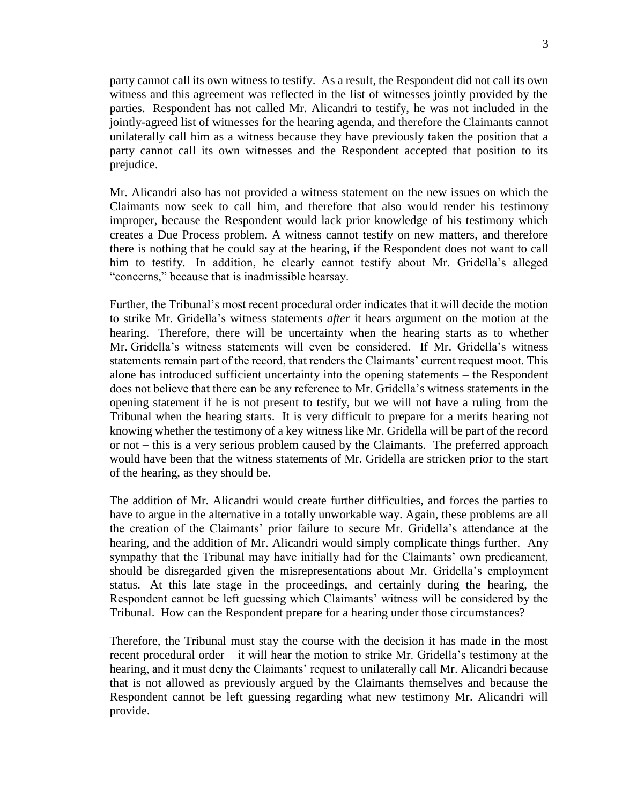party cannot call its own witness to testify. As a result, the Respondent did not call its own witness and this agreement was reflected in the list of witnesses jointly provided by the parties. Respondent has not called Mr. Alicandri to testify, he was not included in the jointly-agreed list of witnesses for the hearing agenda, and therefore the Claimants cannot unilaterally call him as a witness because they have previously taken the position that a party cannot call its own witnesses and the Respondent accepted that position to its prejudice.

Mr. Alicandri also has not provided a witness statement on the new issues on which the Claimants now seek to call him, and therefore that also would render his testimony improper, because the Respondent would lack prior knowledge of his testimony which creates a Due Process problem. A witness cannot testify on new matters, and therefore there is nothing that he could say at the hearing, if the Respondent does not want to call him to testify. In addition, he clearly cannot testify about Mr. Gridella's alleged "concerns," because that is inadmissible hearsay.

Further, the Tribunal's most recent procedural order indicates that it will decide the motion to strike Mr. Gridella's witness statements *after* it hears argument on the motion at the hearing. Therefore, there will be uncertainty when the hearing starts as to whether Mr. Gridella's witness statements will even be considered. If Mr. Gridella's witness statements remain part of the record, that renders the Claimants' current request moot. This alone has introduced sufficient uncertainty into the opening statements – the Respondent does not believe that there can be any reference to Mr. Gridella's witness statements in the opening statement if he is not present to testify, but we will not have a ruling from the Tribunal when the hearing starts. It is very difficult to prepare for a merits hearing not knowing whether the testimony of a key witness like Mr. Gridella will be part of the record or not – this is a very serious problem caused by the Claimants. The preferred approach would have been that the witness statements of Mr. Gridella are stricken prior to the start of the hearing, as they should be.

The addition of Mr. Alicandri would create further difficulties, and forces the parties to have to argue in the alternative in a totally unworkable way. Again, these problems are all the creation of the Claimants' prior failure to secure Mr. Gridella's attendance at the hearing, and the addition of Mr. Alicandri would simply complicate things further. Any sympathy that the Tribunal may have initially had for the Claimants' own predicament, should be disregarded given the misrepresentations about Mr. Gridella's employment status. At this late stage in the proceedings, and certainly during the hearing, the Respondent cannot be left guessing which Claimants' witness will be considered by the Tribunal. How can the Respondent prepare for a hearing under those circumstances?

Therefore, the Tribunal must stay the course with the decision it has made in the most recent procedural order – it will hear the motion to strike Mr. Gridella's testimony at the hearing, and it must deny the Claimants' request to unilaterally call Mr. Alicandri because that is not allowed as previously argued by the Claimants themselves and because the Respondent cannot be left guessing regarding what new testimony Mr. Alicandri will provide.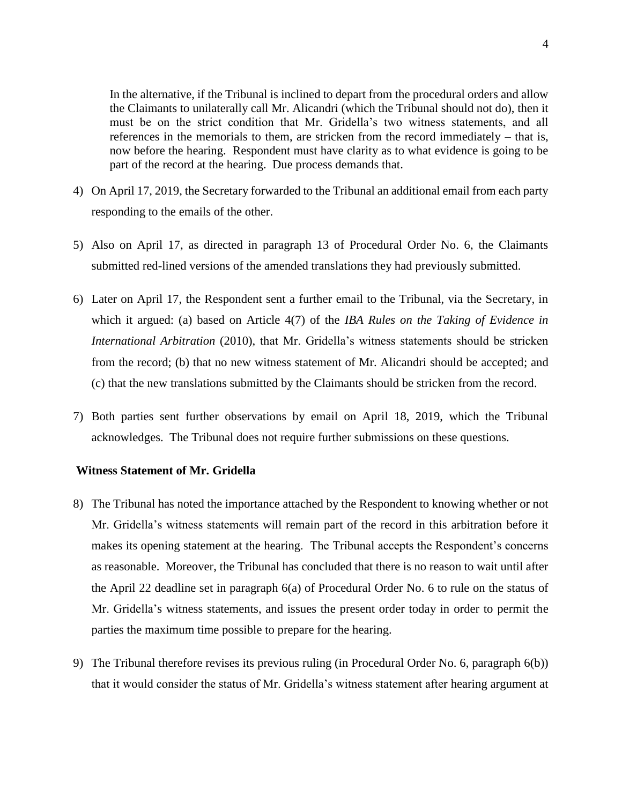In the alternative, if the Tribunal is inclined to depart from the procedural orders and allow the Claimants to unilaterally call Mr. Alicandri (which the Tribunal should not do), then it must be on the strict condition that Mr. Gridella's two witness statements, and all references in the memorials to them, are stricken from the record immediately – that is, now before the hearing. Respondent must have clarity as to what evidence is going to be part of the record at the hearing. Due process demands that.

- 4) On April 17, 2019, the Secretary forwarded to the Tribunal an additional email from each party responding to the emails of the other.
- 5) Also on April 17, as directed in paragraph 13 of Procedural Order No. 6, the Claimants submitted red-lined versions of the amended translations they had previously submitted.
- 6) Later on April 17, the Respondent sent a further email to the Tribunal, via the Secretary, in which it argued: (a) based on Article 4(7) of the *IBA Rules on the Taking of Evidence in International Arbitration* (2010), that Mr. Gridella's witness statements should be stricken from the record; (b) that no new witness statement of Mr. Alicandri should be accepted; and (c) that the new translations submitted by the Claimants should be stricken from the record.
- 7) Both parties sent further observations by email on April 18, 2019, which the Tribunal acknowledges. The Tribunal does not require further submissions on these questions.

#### **Witness Statement of Mr. Gridella**

- 8) The Tribunal has noted the importance attached by the Respondent to knowing whether or not Mr. Gridella's witness statements will remain part of the record in this arbitration before it makes its opening statement at the hearing. The Tribunal accepts the Respondent's concerns as reasonable. Moreover, the Tribunal has concluded that there is no reason to wait until after the April 22 deadline set in paragraph 6(a) of Procedural Order No. 6 to rule on the status of Mr. Gridella's witness statements, and issues the present order today in order to permit the parties the maximum time possible to prepare for the hearing.
- 9) The Tribunal therefore revises its previous ruling (in Procedural Order No. 6, paragraph 6(b)) that it would consider the status of Mr. Gridella's witness statement after hearing argument at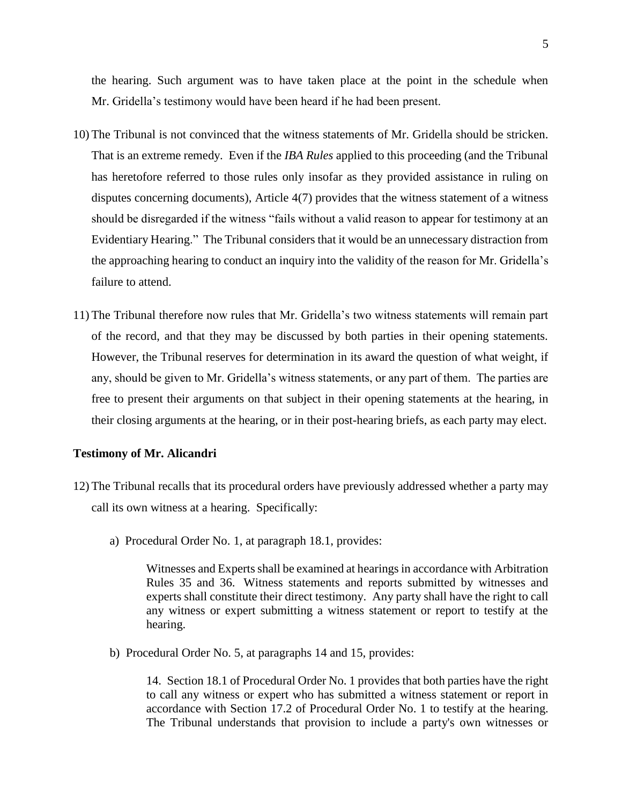the hearing. Such argument was to have taken place at the point in the schedule when Mr. Gridella's testimony would have been heard if he had been present.

- 10) The Tribunal is not convinced that the witness statements of Mr. Gridella should be stricken. That is an extreme remedy. Even if the *IBA Rules* applied to this proceeding (and the Tribunal has heretofore referred to those rules only insofar as they provided assistance in ruling on disputes concerning documents), Article 4(7) provides that the witness statement of a witness should be disregarded if the witness "fails without a valid reason to appear for testimony at an Evidentiary Hearing." The Tribunal considers that it would be an unnecessary distraction from the approaching hearing to conduct an inquiry into the validity of the reason for Mr. Gridella's failure to attend.
- 11) The Tribunal therefore now rules that Mr. Gridella's two witness statements will remain part of the record, and that they may be discussed by both parties in their opening statements. However, the Tribunal reserves for determination in its award the question of what weight, if any, should be given to Mr. Gridella's witness statements, or any part of them. The parties are free to present their arguments on that subject in their opening statements at the hearing, in their closing arguments at the hearing, or in their post-hearing briefs, as each party may elect.

#### **Testimony of Mr. Alicandri**

- 12) The Tribunal recalls that its procedural orders have previously addressed whether a party may call its own witness at a hearing. Specifically:
	- a) Procedural Order No. 1, at paragraph 18.1, provides:

Witnesses and Experts shall be examined at hearings in accordance with Arbitration Rules 35 and 36. Witness statements and reports submitted by witnesses and experts shall constitute their direct testimony. Any party shall have the right to call any witness or expert submitting a witness statement or report to testify at the hearing.

b) Procedural Order No. 5, at paragraphs 14 and 15, provides:

14. Section 18.1 of Procedural Order No. 1 provides that both parties have the right to call any witness or expert who has submitted a witness statement or report in accordance with Section 17.2 of Procedural Order No. 1 to testify at the hearing. The Tribunal understands that provision to include a party's own witnesses or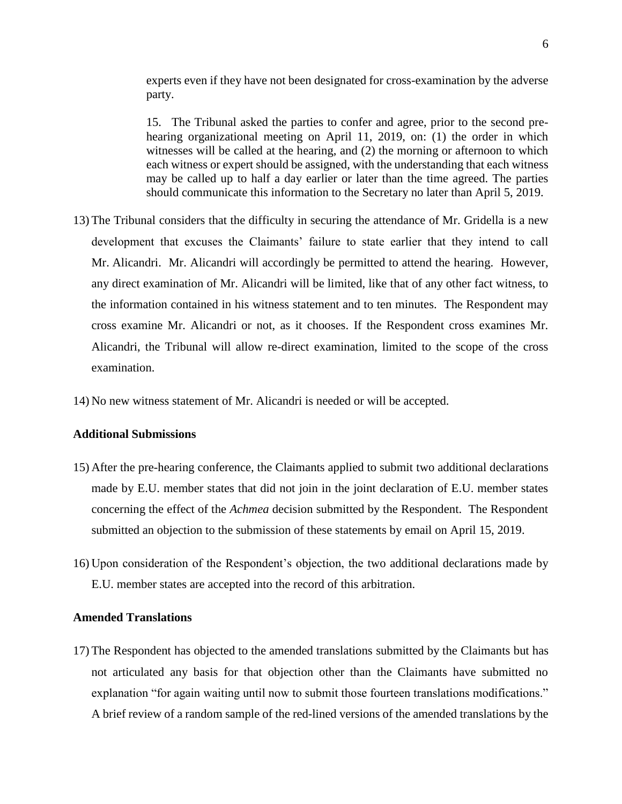experts even if they have not been designated for cross-examination by the adverse party.

15. The Tribunal asked the parties to confer and agree, prior to the second prehearing organizational meeting on April 11, 2019, on: (1) the order in which witnesses will be called at the hearing, and (2) the morning or afternoon to which each witness or expert should be assigned, with the understanding that each witness may be called up to half a day earlier or later than the time agreed. The parties should communicate this information to the Secretary no later than April 5, 2019.

- 13) The Tribunal considers that the difficulty in securing the attendance of Mr. Gridella is a new development that excuses the Claimants' failure to state earlier that they intend to call Mr. Alicandri. Mr. Alicandri will accordingly be permitted to attend the hearing. However, any direct examination of Mr. Alicandri will be limited, like that of any other fact witness, to the information contained in his witness statement and to ten minutes. The Respondent may cross examine Mr. Alicandri or not, as it chooses. If the Respondent cross examines Mr. Alicandri, the Tribunal will allow re-direct examination, limited to the scope of the cross examination.
- 14) No new witness statement of Mr. Alicandri is needed or will be accepted.

#### **Additional Submissions**

- 15) After the pre-hearing conference, the Claimants applied to submit two additional declarations made by E.U. member states that did not join in the joint declaration of E.U. member states concerning the effect of the *Achmea* decision submitted by the Respondent. The Respondent submitted an objection to the submission of these statements by email on April 15, 2019.
- 16) Upon consideration of the Respondent's objection, the two additional declarations made by E.U. member states are accepted into the record of this arbitration.

#### **Amended Translations**

17) The Respondent has objected to the amended translations submitted by the Claimants but has not articulated any basis for that objection other than the Claimants have submitted no explanation "for again waiting until now to submit those fourteen translations modifications." A brief review of a random sample of the red-lined versions of the amended translations by the